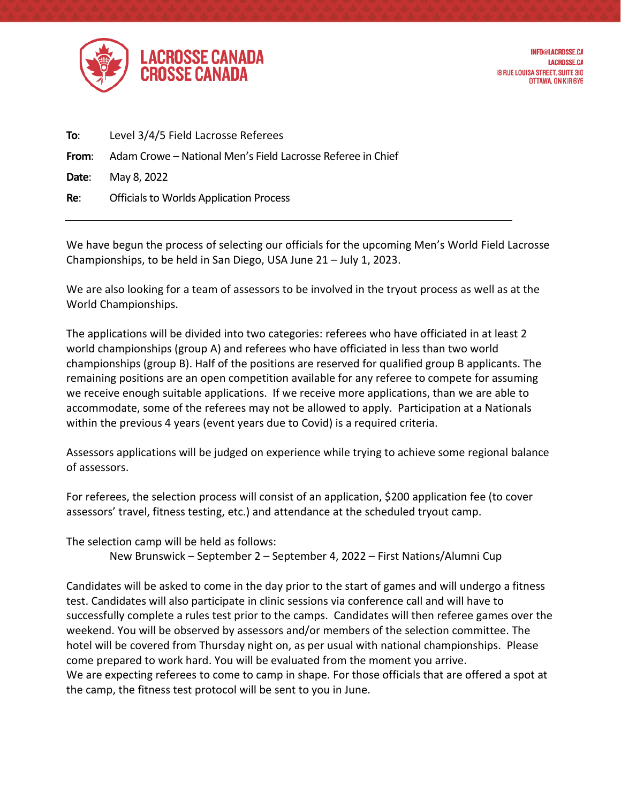

| To:   | Level 3/4/5 Field Lacrosse Referees                         |
|-------|-------------------------------------------------------------|
| From: | Adam Crowe – National Men's Field Lacrosse Referee in Chief |
|       | <b>Date:</b> May 8, 2022                                    |
| Re:   | <b>Officials to Worlds Application Process</b>              |

We have begun the process of selecting our officials for the upcoming Men's World Field Lacrosse Championships, to be held in San Diego, USA June 21 – July 1, 2023.

We are also looking for a team of assessors to be involved in the tryout process as well as at the World Championships.

The applications will be divided into two categories: referees who have officiated in at least 2 world championships (group A) and referees who have officiated in less than two world championships (group B). Half of the positions are reserved for qualified group B applicants. The remaining positions are an open competition available for any referee to compete for assuming we receive enough suitable applications. If we receive more applications, than we are able to accommodate, some of the referees may not be allowed to apply. Participation at a Nationals within the previous 4 years (event years due to Covid) is a required criteria.

Assessors applications will be judged on experience while trying to achieve some regional balance of assessors.

For referees, the selection process will consist of an application, \$200 application fee (to cover assessors' travel, fitness testing, etc.) and attendance at the scheduled tryout camp.

The selection camp will be held as follows:

New Brunswick – September 2 – September 4, 2022 – First Nations/Alumni Cup

Candidates will be asked to come in the day prior to the start of games and will undergo a fitness test. Candidates will also participate in clinic sessions via conference call and will have to successfully complete a rules test prior to the camps. Candidates will then referee games over the weekend. You will be observed by assessors and/or members of the selection committee. The hotel will be covered from Thursday night on, as per usual with national championships. Please come prepared to work hard. You will be evaluated from the moment you arrive. We are expecting referees to come to camp in shape. For those officials that are offered a spot at the camp, the fitness test protocol will be sent to you in June.